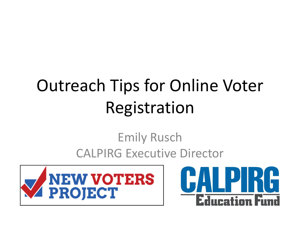# Outreach Tips for Online Voter Registration

### Emily Rusch CALPIRG Executive Director



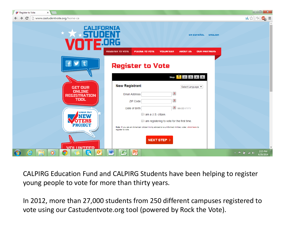| Register to Vote<br>$\times$                                        |                                                                                                                                                                                                               |                                               |                                         |
|---------------------------------------------------------------------|---------------------------------------------------------------------------------------------------------------------------------------------------------------------------------------------------------------|-----------------------------------------------|-----------------------------------------|
| www.castudentvote.org/home-ca<br>$\mathbf{C}$<br>$\rightarrow$      |                                                                                                                                                                                                               |                                               | 五公<br><b>ABP</b><br>Ξ                   |
| <b>CALIFORNIA</b>                                                   |                                                                                                                                                                                                               | EN ESPAÑOL<br><b>ENGLISH</b>                  |                                         |
|                                                                     | 20RG<br><b>REGISTER TO VOTE</b><br><b>VOLUNTEER</b><br>PLEDGE TO VOTE                                                                                                                                         | <b>OUR PARTNERS</b><br><b>ABOUT US</b>        |                                         |
|                                                                     | <b>Register to Vote</b>                                                                                                                                                                                       | Step: 1 2 3 4 5                               |                                         |
| <b>GET OUR</b><br><b>ONLINE</b>                                     | <b>New Registrant</b>                                                                                                                                                                                         | Select Language<br>$\boldsymbol{\mathcal{P}}$ |                                         |
| <b>REGISTRATION</b><br>TOOL                                         | <b>Email Address</b><br>ZIP Code                                                                                                                                                                              | $\overline{\mathbf{r}}$                       |                                         |
| <b>CHECK OUT</b><br>MEV<br>TU MEK<br><b>PROJECT</b>                 | Date of Birth<br>I am a U.S. citizen.<br>I am registering to vote for the first time.<br>Note: If you are an American citizen living abroad or a uniformed military voter, click here to<br>register to vote. | <b>?</b> MM-DD-YYYY                           |                                         |
| <b>VOLUNTEED</b><br>e<br>$\overline{\mathbf{o}}$<br>နေ<br>$\bullet$ | <b>NEXT STEP &gt;</b><br>W,<br>K<br>$\mathbf{R}$                                                                                                                                                              |                                               | 2:15 PM<br>▲   ■ 管 ail (0)<br>4/29/2014 |

CALPIRG Education Fund and CALPIRG Students have been helping to register young people to vote for more than thirty years.

In 2012, more than 27,000 students from 250 different campuses registered to vote using our Castudentvote.org tool (powered by Rock the Vote).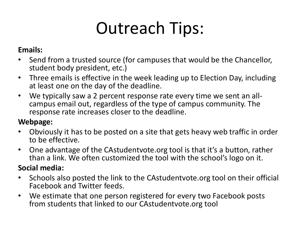## Outreach Tips:

#### **Emails:**

- Send from a trusted source (for campuses that would be the Chancellor, student body president, etc.)
- Three emails is effective in the week leading up to Election Day, including at least one on the day of the deadline.
- We typically saw a 2 percent response rate every time we sent an allcampus email out, regardless of the type of campus community. The response rate increases closer to the deadline.

#### **Webpage:**

- Obviously it has to be posted on a site that gets heavy web traffic in order to be effective.
- One advantage of the CAstudentvote.org tool is that it's a button, rather than a link. We often customized the tool with the school's logo on it.

#### **Social media:**

- Schools also posted the link to the CAstudentvote.org tool on their official Facebook and Twitter feeds.
- We estimate that one person registered for every two Facebook posts from students that linked to our CAstudentvote.org tool